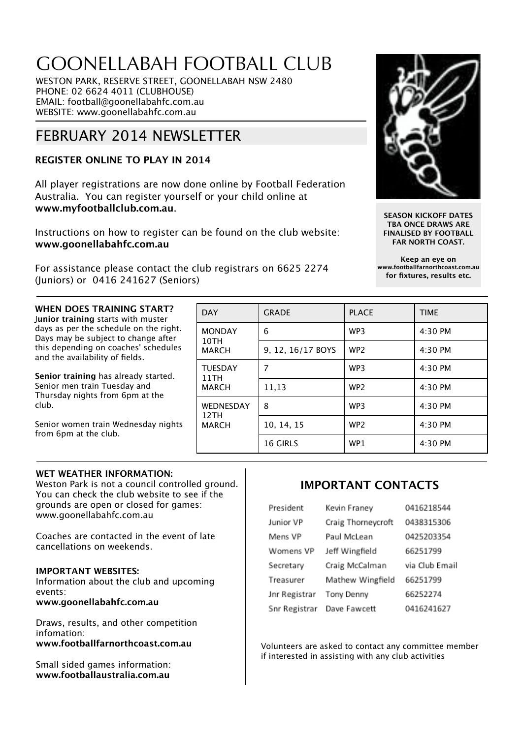# GOONELLABAH FOOTBALL CLUB

WESTON PARK, RESERVE STREET, GOONELLABAH NSW 2480 PHONE: 02 6624 4011 (CLUBHOUSE) EMAIL: football@goonellabahfc.com.au WEBSITE: www.goonellabahfc.com.au

# FEBRUARY 2014 NEWSLETTER

# **REGISTER ONLINE TO PLAY IN 2014**

All player registrations are now done online by Football Federation Australia. You can register yourself or your child online at **www.myfootballclub.com.au**.

Instructions on how to register can be found on the club website: **www.goonellabahfc.com.au**

For assistance please contact the club registrars on 6625 2274 (Juniors) or 0416 241627 (Seniors)



**SEASON KICKOFF DATES TBA ONCE DRAWS ARE FINALISED BY FOOTBALL FAR NORTH COAST.**

**Keep an eye on www.footballfarnorthcoast.com.au for fixtures, results etc.**

#### **WHEN DOES TRAINING START?** J**unior training** starts with muster days as per the schedule on the right. Days may be subject to change after this depending on coaches' schedules and the availability of fields.

**Senior training** has already started. Senior men train Tuesday and Thursday nights from 6pm at the club.

Senior women train Wednesday nights from 6pm at the club.

| <b>DAY</b>                               | <b>GRADE</b>      | <b>PLACE</b>    | <b>TIME</b> |
|------------------------------------------|-------------------|-----------------|-------------|
| <b>MONDAY</b><br>10TH<br><b>MARCH</b>    | 6                 | WP <sub>3</sub> | 4:30 PM     |
|                                          | 9, 12, 16/17 BOYS | WP <sub>2</sub> | $4:30$ PM   |
| <b>TUESDAY</b><br>11TH<br><b>MARCH</b>   | 7                 | WP <sub>3</sub> | 4:30 PM     |
|                                          | 11,13             | WP <sub>2</sub> | 4:30 PM     |
| <b>WEDNESDAY</b><br>12TH<br><b>MARCH</b> | 8                 | WP <sub>3</sub> | 4:30 PM     |
|                                          | 10, 14, 15        | WP <sub>2</sub> | 4:30 PM     |
|                                          | <b>16 GIRLS</b>   | WP1             | 4:30 PM     |

## **WET WEATHER INFORMATION:**

Weston Park is not a council controlled ground. You can check the club website to see if the grounds are open or closed for games: www.goonellabahfc.com.au

Coaches are contacted in the event of late cancellations on weekends.

## **IMPORTANT WEBSITES:**

Information about the club and upcoming events: **www.goonellabahfc.com.au**

Draws, results, and other competition infomation: **www.footballfarnorthcoast.com.au**

Small sided games information: **www.footballaustralia.com.au**

# **IMPORTANT CONTACTS**

| President     | Kevin Franey       | 0416218544     |
|---------------|--------------------|----------------|
| Junior VP     | Craig Thorneycroft | 0438315306     |
| Mens VP       | Paul McLean        | 0425203354     |
| Womens VP     | Jeff Wingfield     | 66251799       |
| Secretary     | Craig McCalman     | via Club Email |
| Treasurer     | Mathew Wingfield   | 66251799       |
| Jnr Registrar | Tony Denny         | 66252274       |
| Snr Registrar | Dave Fawcett       | 0416241627     |

Volunteers are asked to contact any committee member if interested in assisting with any club activities